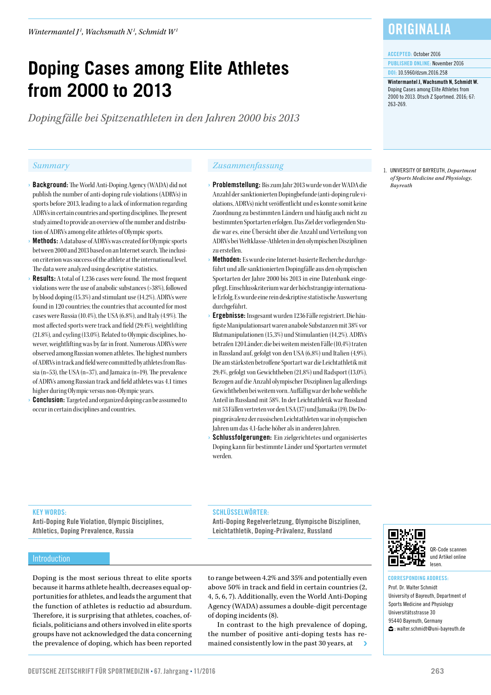# **Doping Cases among Elite Athletes from 2000 to 2013**

*Dopingfälle bei Spitzenathleten in den Jahren 2000 bis 2013*

- › Background: The World Anti-Doping Agency (WADA) did not publish the number of anti-doping rule violations (ADRVs) in sports before 2013, leading to a lack of information regarding ADRVs in certain countries and sporting disciplines. The present study aimed to provide an overview of the number and distribution of ADRVs among elite athletes of Olympic sports.
- Methods: A database of ADRVs was created for Olympic sports between 2000 and 2013 based on an Internet search. The inclusion criterion was success of the athlete at the international level. The data were analyzed using descriptive statistics.
- **Results:** A total of 1,236 cases were found. The most frequent violations were the use of anabolic substances (>38%), followed by blood doping (15.3%) and stimulant use (14.2%). ADRVs were found in 120 countries; the countries that accounted for most cases were Russia (10.4%), the USA (6.8%), and Italy (4.9%). The most affected sports were track and field (29.4%), weightlifting (21.8%), and cycling (13.0%). Related to Olympic disciplines, however, weightlifting was by far in front. Numerous ADRVs were observed among Russian women athletes. The highest numbers of ADRVs in track and field were committed by athletes from Russia (n=53), the USA (n=37), and Jamaica (n=19). The prevalence of ADRVs among Russian track and field athletes was 4.1 times higher during Olympic versus non-Olympic years.
- **Conclusion:** Targeted and organized doping can be assumed to occur in certain disciplines and countries.

#### *Summary Zusammenfassung*

- › Problemstellung: Bis zum Jahr 2013 wurde von der WADA die Anzahl der sanktionierten Dopingbefunde (anti-doping rule violations, ADRVs) nicht veröffentlicht und es konnte somit keine Zuordnung zu bestimmten Ländern und häufig auch nicht zu bestimmten Sportarten erfolgen. Das Ziel der vorliegenden Studie war es, eine Übersicht über die Anzahl und Verteilung von ADRVs bei Weltklasse-Athleten in den olympischen Disziplinen zu erstellen.
- › Methoden: Es wurde eine Internet-basierte Recherche durchgeführt und alle sanktionierten Dopingfälle aus den olympischen Sportarten der Jahre 2000 bis 2013 in eine Datenbank eingepflegt. Einschlusskriterium war der höchstrangige internationale Erfolg. Es wurde eine rein deskriptive statistische Auswertung durchgeführt.
- › Ergebnisse: Insgesamt wurden 1236 Fälle registriert. Die häufigste Manipulationsart waren anabole Substanzen mit 38% vor Blutmanipulationen (15,3%) und Stimulantien (14,2%). ADRVs betrafen 120 Länder; die bei weitem meisten Fälle (10,4%) traten in Russland auf, gefolgt von den USA (6,8%) und Italien (4,9%). Die am stärksten betroffene Sportart war die Leichtathletik mit 29,4%, gefolgt von Gewichtheben (21,8%) und Radsport (13,0%). Bezogen auf die Anzahl olympischer Disziplinen lag allerdings Gewichtheben bei weitem vorn. Auffällig war der hohe weibliche Anteil in Russland mit 58%. In der Leichtathletik war Russland mit 53 Fällen vertreten vor den USA (37) und Jamaika (19). Die Dopingprävalenz der russischen Leichtathleten war in olympischen Jahren um das 4,1-fache höher als in anderen Jahren.
- Schlussfolgerungen: Ein zielgerichtetes und organisiertes Doping kann für bestimmte Länder und Sportarten vermutet werden.

### **ORIGINALIA**

#### ACCEPTED: October 2016

PUBLISHED ONLINE: November 2016 DOI: 10.5960/dzsm.2016.258

Wintermantel I, Wachsmuth N, Schmidt W. Doping Cases among Elite Athletes from 2000 to 2013. Dtsch Z Sportmed. 2016; 67: 263-269.

1. UNIVERSITY OF BAYREUTH, *Department of Sports Medicine and Physiology, Bayreuth*

#### KEY WORDS:

Anti-Doping Rule Violation, Olympic Disciplines, Athletics, Doping Prevalence, Russia

#### SCHLÜSSELWÖRTER:

Anti-Doping Regelverletzung, Olympische Disziplinen, Leichtathletik, Doping-Prävalenz, Russland

#### Introduction

Doping is the most serious threat to elite sports because it harms athlete health, decreases equal opportunities for athletes, and leads the argument that the function of athletes is reductio ad absurdum. Therefore, it is surprising that athletes, coaches, officials, politicians and others involved in elite sports groups have not acknowledged the data concerning the prevalence of doping, which has been reported

to range between 4.2% and 35% and potentially even above 50% in track and field in certain countries (2, 4, 5, 6, 7). Additionally, even the World Anti-Doping Agency (WADA) assumes a double-digit percentage of doping incidents (8).

In contrast to the high prevalence of doping, the number of positive anti-doping tests has remained consistently low in the past 30 years, at



QR-Code scannen und Artikel online lesen.

#### CORRESPONDING ADDRESS:

Prof. Dr. Walter Schmidt University of Bayreuth, Department of Sports Medicine and Physiology Universitätsstrasse 30 95440 Bayreuth, Germany : walter.schmidt@uni-bayreuth.de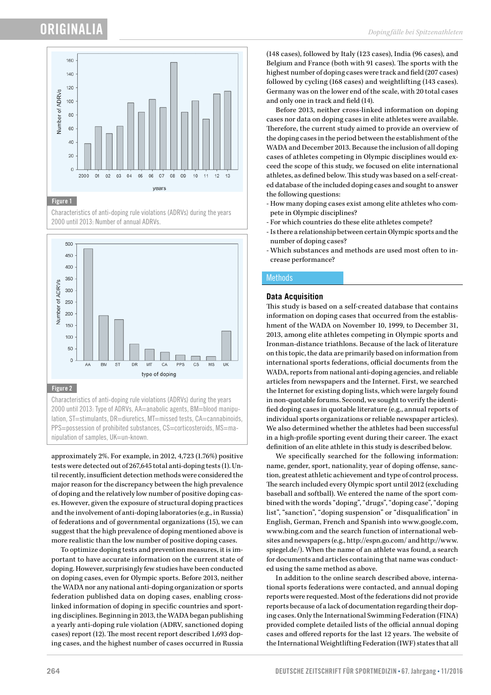

#### Figure 1

Characteristics of anti-doping rule violations (ADRVs) during the years 2000 until 2013: Number of annual ADRVs.



#### Figure 2

Characteristics of anti-doping rule violations (ADRVs) during the years 2000 until 2013: Type of ADRVs, AA=anabolic agents, BM=blood manipulation, ST=stimulants, DR=diuretics, MT=missed tests, CA=cannabinoids, PPS=possession of prohibited substances, CS=corticosteroids, MS=manipulation of samples, UK=un-known.

approximately 2%. For example, in 2012, 4,723 (1.76%) positive tests were detected out of 267,645 total anti-doping tests (1). Until recently, insufficient detection methods were considered the major reason for the discrepancy between the high prevalence of doping and the relatively low number of positive doping cases. However, given the exposure of structural doping practices and the involvement of anti-doping laboratories (e.g., in Russia) of federations and of governmental organizations (15), we can suggest that the high prevalence of doping mentioned above is more realistic than the low number of positive doping cases.

To optimize doping tests and prevention measures, it is important to have accurate information on the current state of doping. However, surprisingly few studies have been conducted on doping cases, even for Olympic sports. Before 2013, neither the WADA nor any national anti-doping organization or sports federation published data on doping cases, enabling crosslinked information of doping in specific countries and sporting disciplines. Beginning in 2013, the WADA began publishing a yearly anti-doping rule violation (ADRV, sanctioned doping cases) report (12). The most recent report described 1,693 doping cases, and the highest number of cases occurred in Russia

(148 cases), followed by Italy (123 cases), India (96 cases), and Belgium and France (both with 91 cases). The sports with the highest number of doping cases were track and field (207 cases) followed by cycling (168 cases) and weightlifting (143 cases). Germany was on the lower end of the scale, with 20 total cases and only one in track and field (14).

Before 2013, neither cross-linked information on doping cases nor data on doping cases in elite athletes were available. Therefore, the current study aimed to provide an overview of the doping cases in the period between the establishment of the WADA and December 2013. Because the inclusion of all doping cases of athletes competing in Olympic disciplines would exceed the scope of this study, we focused on elite international athletes, as defined below. This study was based on a self-created database of the included doping cases and sought to answer the following questions:

- How many doping cases exist among elite athletes who compete in Olympic disciplines?
- For which countries do these elite athletes compete?
- Is there a relationship between certain Olympic sports and the number of doping cases?
- Which substances and methods are used most often to increase performance?

#### **Methods**

#### **Data Acquisition**

This study is based on a self-created database that contains information on doping cases that occurred from the establishment of the WADA on November 10, 1999, to December 31, 2013, among elite athletes competing in Olympic sports and Ironman-distance triathlons. Because of the lack of literature on this topic, the data are primarily based on information from international sports federations, official documents from the WADA, reports from national anti-doping agencies, and reliable articles from newspapers and the Internet. First, we searched the Internet for existing doping lists, which were largely found in non-quotable forums. Second, we sought to verify the identified doping cases in quotable literature (e.g., annual reports of individual sports organizations or reliable newspaper articles). We also determined whether the athletes had been successful in a high-profile sporting event during their career. The exact definition of an elite athlete in this study is described below.

We specifically searched for the following information: name, gender, sport, nationality, year of doping offense, sanction, greatest athletic achievement and type of control process. The search included every Olympic sport until 2012 (excluding baseball and softball). We entered the name of the sport combined with the words "doping", "drugs", "doping case", "doping list", "sanction", "doping suspension" or "disqualification" in English, German, French and Spanish into www.google.com, www.bing.com and the search function of international websites and newspapers (e.g., http://espn.go.com/ and http://www. spiegel.de/). When the name of an athlete was found, a search for documents and articles containing that name was conducted using the same method as above.

In addition to the online search described above, international sports federations were contacted, and annual doping reports were requested. Most of the federations did not provide reports because of a lack of documentation regarding their doping cases. Only the International Swimming Federation (FINA) provided complete detailed lists of the official annual doping cases and offered reports for the last 12 years. The website of the International Weightlifting Federation (IWF) states that all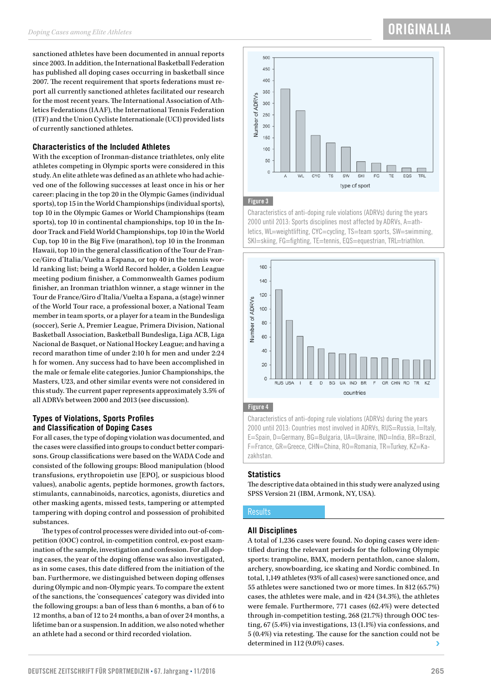sanctioned athletes have been documented in annual reports since 2003. In addition, the International Basketball Federation has published all doping cases occurring in basketball since 2007. The recent requirement that sports federations must report all currently sanctioned athletes facilitated our research for the most recent years. The International Association of Athletics Federations (IAAF), the International Tennis Federation (ITF) and the Union Cycliste Internationale (UCI) provided lists of currently sanctioned athletes.

#### **Characteristics of the Included Athletes**

With the exception of Ironman-distance triathletes, only elite athletes competing in Olympic sports were considered in this study. An elite athlete was defined as an athlete who had achieved one of the following successes at least once in his or her career: placing in the top 20 in the Olympic Games (individual sports), top 15 in the World Championships (individual sports), top 10 in the Olympic Games or World Championships (team sports), top 10 in continental championships, top 10 in the Indoor Track and Field World Championships, top 10 in the World Cup, top 10 in the Big Five (marathon), top 10 in the Ironman Hawaii, top 10 in the general classification of the Tour de France/Giro d'Italia/Vuelta a Espana, or top 40 in the tennis world ranking list; being a World Record holder, a Golden League meeting podium finisher, a Commonwealth Games podium finisher, an Ironman triathlon winner, a stage winner in the Tour de France/Giro d'Italia/Vuelta a Espana, a (stage) winner of the World Tour race, a professional boxer, a National Team member in team sports, or a player for a team in the Bundesliga (soccer), Serie A, Premier League, Primera Division, National Basketball Association, Basketball Bundesliga, Liga ACB, Liga Nacional de Basquet, or National Hockey League; and having a record marathon time of under 2:10 h for men and under 2:24 h for women. Any success had to have been accomplished in the male or female elite categories. Junior Championships, the Masters, U23, and other similar events were not considered in this study. The current paper represents approximately 3.5% of all ADRVs between 2000 and 2013 (see discussion).

#### **Types of Violations, Sports Profiles and Classification of Doping Cases**

For all cases, the type of doping violation was documented, and the cases were classified into groups to conduct better comparisons. Group classifications were based on the WADA Code and consisted of the following groups: Blood manipulation (blood transfusions, erythropoietin use [EPO], or suspicious blood values), anabolic agents, peptide hormones, growth factors, stimulants, cannabinoids, narcotics, agonists, diuretics and other masking agents, missed tests, tampering or attempted tampering with doping control and possession of prohibited substances.

The types of control processes were divided into out-of-competition (OOC) control, in-competition control, ex-post examination of the sample, investigation and confession. For all doping cases, the year of the doping offense was also investigated, as in some cases, this date differed from the initiation of the ban. Furthermore, we distinguished between doping offenses during Olympic and non-Olympic years. To compare the extent of the sanctions, the 'consequences' category was divided into the following groups: a ban of less than 6 months, a ban of 6 to 12 months, a ban of 12 to 24 months, a ban of over 24 months, a lifetime ban or a suspension. In addition, we also noted whether an athlete had a second or third recorded violation.



### Figure 3

Characteristics of anti-doping rule violations (ADRVs) during the years 2000 until 2013: Sports disciplines most affected by ADRVs, A=athletics, WL=weightlifting, CYC=cycling, TS=team sports, SW=swimming, SKI=skiing, FG=fighting, TE=tennis, EQS=equestrian, TRL=triathlon.



#### Figure 4

Characteristics of anti-doping rule violations (ADRVs) during the years 2000 until 2013: Countries most involved in ADRVs, RUS=Russia, I=Italy, E=Spain, D=Germany, BG=Bulgaria, UA=Ukraine, IND=India, BR=Brazil, F=France, GR=Greece, CHN=China, RO=Romania, TR=Turkey, KZ=Kazakhstan.

#### **Statistics**

The descriptive data obtained in this study were analyzed using SPSS Version 21 (IBM, Armonk, NY, USA).

#### **Results**

#### **All Disciplines**

A total of 1,236 cases were found. No doping cases were identified during the relevant periods for the following Olympic sports: trampoline, BMX, modern pentathlon, canoe slalom, archery, snowboarding, ice skating and Nordic combined. In total, 1,149 athletes (93% of all cases) were sanctioned once, and 55 athletes were sanctioned two or more times. In 812 (65.7%) cases, the athletes were male, and in 424 (34.3%), the athletes were female. Furthermore, 771 cases (62.4%) were detected through in-competition testing, 268 (21.7%) through OOC testing, 67 (5.4%) via investigations, 13 (1.1%) via confessions, and 5 (0.4%) via retesting. The cause for the sanction could not be determined in 112 (9.0%) cases.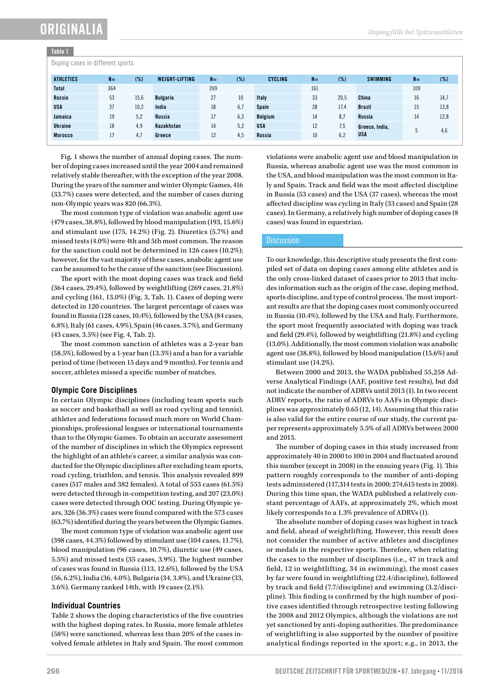## ORIGINALIA

#### Table 1

Doping cases in different sports.

| $\sim$           |       |      |                       |       |     |                |       |      |                 |       |        |
|------------------|-------|------|-----------------------|-------|-----|----------------|-------|------|-----------------|-------|--------|
| <b>ATHLETICS</b> | $N =$ | (%)  | <b>WEIGHT-LIFTING</b> | $N =$ | (%) | <b>CYCLING</b> | $N =$ | (%)  | <b>SWIMMING</b> | $N =$ | $(\%)$ |
| <b>Total</b>     | 364   |      |                       | 269   |     |                | 161   |      |                 | 109   |        |
| <b>Russia</b>    | 53    | 15,6 | <b>Bulgaria</b>       | 27    | 10  | <b>Italy</b>   | 33    | 20.5 | China           | 16    | 14,7   |
| <b>USA</b>       | 37    | 10,2 | India                 | 18    | 6,7 | <b>Spain</b>   | 28    | 17.4 | <b>Brazil</b>   | 15    | 13,8   |
| Jamaica          | 19    | 5,2  | Russia                |       | 6,3 | <b>Belgium</b> | 14    | 8.7  | Russia          | 14    | 12,8   |
| <b>Ukraine</b>   | 18    | 4,9  | Kazakhstan            | 14    | 5,2 | <b>USA</b>     | 12    | 7,5  | Greece, India,  |       |        |
| <b>Morocco</b>   | 17    | 4,7  | Greece                | 12    | 4.5 | Russia         | 10    | 6,2  | <b>USA</b>      |       | 4,6    |

Fig. 1 shows the number of annual doping cases. The number of doping cases increased until the year 2004 and remained relatively stable thereafter, with the exception of the year 2008. During the years of the summer and winter Olympic Games, 416 (33.7%) cases were detected, and the number of cases during non-Olympic years was 820 (66.3%).

The most common type of violation was anabolic agent use (479 cases, 38.8%), followed by blood manipulation (193, 15.6%) and stimulant use (175, 14.2%) (Fig. 2). Diuretics (5.7%) and missed tests (4.0%) were 4th and 5th most common. The reason for the sanction could not be determined in 126 cases (10.2%); however, for the vast majority of these cases, anabolic agent use can be assumed to be the cause of the sanction (see Discussion).

The sport with the most doping cases was track and field (364 cases, 29.4%), followed by weightlifting (269 cases, 21.8%) and cycling (161, 13.0%) (Fig. 3, Tab. 1). Cases of doping were detected in 120 countries. The largest percentage of cases was found in Russia (128 cases, 10.4%), followed by the USA (84 cases, 6.8%), Italy (61 cases, 4.9%), Spain (46 cases, 3.7%), and Germany (43 cases, 3.5%) (see Fig. 4, Tab. 2).

The most common sanction of athletes was a 2-year ban (58.5%), followed by a 1-year ban (13.3%) and a ban for a variable period of time (between 15 days and 9 months). For tennis and soccer, athletes missed a specific number of matches.

#### **Olympic Core Disciplines**

In certain Olympic disciplines (including team sports such as soccer and basketball as well as road cycling and tennis), athletes and federations focused much more on World Championships, professional leagues or international tournaments than to the Olympic Games. To obtain an accurate assessment of the number of disciplines in which the Olympics represent the highlight of an athlete's career, a similar analysis was conducted for the Olympic disciplines after excluding team sports, road cycling, triathlon, and tennis. This analysis revealed 899 cases (517 males and 382 females). A total of 553 cases (61.5%) were detected through in-competition testing, and 207 (23.0%) cases were detected through OOC testing. During Olympic years, 326 (36.3%) cases were found compared with the 573 cases (63.7%) identified during the years between the Olympic Games.

The most common type of violation was anabolic agent use (398 cases, 44.3%) followed by stimulant use (104 cases, 11.7%), blood manipulation (96 cases, 10.7%), diuretic use (49 cases, 5.5%) and missed tests (35 cases, 3.9%). The highest number of cases was found in Russia (113, 12.6%), followed by the USA (56, 6.2%), India (36, 4.0%), Bulgaria (34, 3.8%), and Ukraine (33, 3.6%). Germany ranked 14th, with 19 cases (2.1%).

#### **Individual Countries**

Table 2 shows the doping characteristics of the five countries with the highest doping rates. In Russia, more female athletes (58%) were sanctioned, whereas less than 20% of the cases involved female athletes in Italy and Spain. The most common violations were anabolic agent use and blood manipulation in Russia, whereas anabolic agent use was the most common in the USA, and blood manipulation was the most common in Italy and Spain. Track and field was the most affected discipline in Russia (53 cases) and the USA (37 cases), whereas the most affected discipline was cycling in Italy (33 cases) and Spain (28 cases). In Germany, a relatively high number of doping cases (8 cases) was found in equestrian.

#### **Discussion**

To our knowledge, this descriptive study presents the first compiled set of data on doping cases among elite athletes and is the only cross-linked dataset of cases prior to 2013 that includes information such as the origin of the case, doping method, sports discipline, and type of control process. The most important results are that the doping cases most commonly occurred in Russia (10.4%), followed by the USA and Italy. Furthermore, the sport most frequently associated with doping was track and field (29.4%), followed by weightlifting (21.8%) and cycling (13.0%). Additionally, the most common violation was anabolic agent use (38.8%), followed by blood manipulation (15.6%) and stimulant use (14.2%).

Between 2000 and 2013, the WADA published 55,258 Adverse Analytical Findings (AAF, positive test results), but did not indicate the number of ADRVs until 2013 (1). In two recent ADRV reports, the ratio of ADRVs to AAFs in Olympic disciplines was approximately 0.65 (12, 14). Assuming that this ratio is also valid for the entire course of our study, the current paper represents approximately 3.5% of all ADRVs between 2000 and 2013.

The number of doping cases in this study increased from approximately 40 in 2000 to 100 in 2004 and fluctuated around this number (except in 2008) in the ensuing years (Fig. 1). This pattern roughly corresponds to the number of anti-doping tests administered (117,314 tests in 2000; 274,615 tests in 2008). During this time span, the WADA published a relatively constant percentage of AAFs, at approximately 2%, which most likely corresponds to a 1.3% prevalence of ADRVs (1).

The absolute number of doping cases was highest in track and field, ahead of weightlifting. However, this result does not consider the number of active athletes and disciplines or medals in the respective sports. Therefore, when relating the cases to the number of disciplines (i.e., 47 in track and field, 12 in weightlifting, 34 in swimming), the most cases by far were found in weightlifting (22.4/discipline), followed by track and field (7.7/discipline) and swimming (3.2/discipline). This finding is confirmed by the high number of positive cases identified through retrospective testing following the 2008 and 2012 Olympics, although the violations are not yet sanctioned by anti-doping authorities. The predominance of weightlifting is also supported by the number of positive analytical findings reported in the sport; e.g., in 2013, the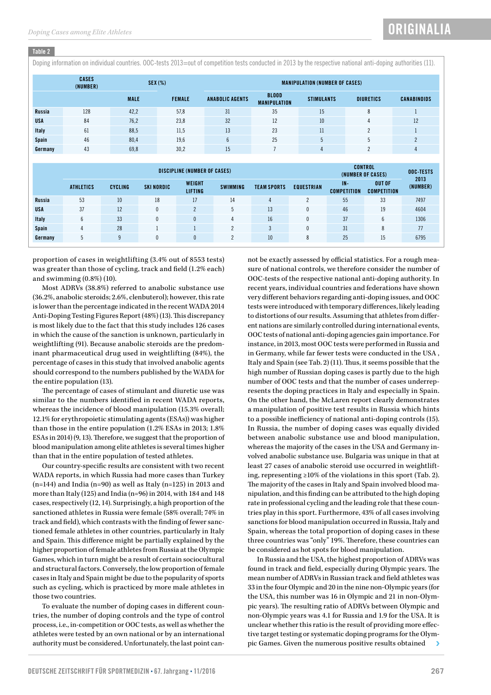#### Table 2

Doping information on individual countries. OOC-tests 2013=out of competition tests conducted in 2013 by the respective national anti-doping authorities (11).

|               | <b>CASES</b><br>(NUMBER) | $SEX$ (%)   |               |                        | <b>MANIPULATION (NUMBER OF CASES)</b> |                   |                  |                    |  |  |  |  |
|---------------|--------------------------|-------------|---------------|------------------------|---------------------------------------|-------------------|------------------|--------------------|--|--|--|--|
|               |                          | <b>MALE</b> | <b>FEMALE</b> | <b>ANABOLIC AGENTS</b> | <b>BLOOD</b><br><b>MANIPULATION</b>   | <b>STIMULANTS</b> | <b>DIURETICS</b> | <b>CANABINOIDS</b> |  |  |  |  |
| <b>Russia</b> | 128                      | 42,2        | 57,8          | 31                     | 35                                    | 15                | 8                |                    |  |  |  |  |
| <b>USA</b>    | 84                       | 76,2        | 23,8          | 32                     | 12                                    | 10 <sup>°</sup>   | 4                | 12                 |  |  |  |  |
| Italy         | 61                       | 88,5        | 11,5          | 13                     | 23                                    | 11                | n                |                    |  |  |  |  |
| Spain         | 46                       | 80,4        | 19,6          | $\sim$<br>b            | 25                                    |                   |                  | $\Omega$           |  |  |  |  |
| Germany       | 43                       | 69,8        | 30,2          | 15                     |                                       | 4                 |                  | 4                  |  |  |  |  |

|               | DISCIPLINE (NUMBER OF CASES) |                |                   |                          |                 |                    |                   |                              | <b>CONTROL</b><br>(NUMBER OF CASES) |                  |  |
|---------------|------------------------------|----------------|-------------------|--------------------------|-----------------|--------------------|-------------------|------------------------------|-------------------------------------|------------------|--|
|               | <b>ATHLETICS</b>             | <b>CYCLING</b> | <b>SKI NORDIC</b> | WEIGHT<br><b>LIFTING</b> | <b>SWIMMING</b> | <b>TEAM SPORTS</b> | <b>EQUESTRIAN</b> | $IN -$<br><b>COMPETITION</b> | <b>OUT OF</b><br><b>COMPETITION</b> | 2013<br>(NUMBER) |  |
| <b>Russia</b> | 53                           | 10             | 18                | 17                       | 14              | 4                  | $\mathcal{P}$     | 55                           | 33                                  | 7497             |  |
| <b>USA</b>    | 37                           | 12             |                   |                          | b               | 13                 | 0                 | 46                           | 19                                  | 4604             |  |
| Italy         |                              | 33             |                   |                          | 4               | 16                 | 0                 | 37                           | b                                   | 1306             |  |
| Spain         | 4                            | 28             |                   |                          | $\Omega$        |                    | 0                 | 31                           | 8                                   | 77               |  |
| Germany       |                              | ۵              |                   |                          |                 | 10                 | 8                 | 25                           | 15                                  | 6795             |  |

proportion of cases in weightlifting (3.4% out of 8553 tests) was greater than those of cycling, track and field (1.2% each) and swimming (0.8%) (10).

Most ADRVs (38.8%) referred to anabolic substance use (36.2%, anabolic steroids; 2.6%, clenbuterol); however, this rate is lower than the percentage indicated in the recent WADA 2014 Anti-Doping Testing Figures Report (48%) (13). This discrepancy is most likely due to the fact that this study includes 126 cases in which the cause of the sanction is unknown, particularly in weightlifting (91). Because anabolic steroids are the predominant pharmaceutical drug used in weightlifting (84%), the percentage of cases in this study that involved anabolic agents should correspond to the numbers published by the WADA for the entire population (13).

The percentage of cases of stimulant and diuretic use was similar to the numbers identified in recent WADA reports, whereas the incidence of blood manipulation (15.3% overall; 12.1% for erythropoietic stimulating agents (ESAs)) was higher than those in the entire population (1.2% ESAs in 2013; 1.8% ESAs in 2014) (9, 13). Therefore, we suggest that the proportion of blood manipulation among elite athletes is several times higher than that in the entire population of tested athletes.

Our country-specific results are consistent with two recent WADA reports, in which Russia had more cases than Turkey  $(n=144)$  and India  $(n=90)$  as well as Italy  $(n=125)$  in 2013 and more than Italy (125) and India (n=96) in 2014, with 184 and 148 cases, respectively (12, 14). Surprisingly, a high proportion of the sanctioned athletes in Russia were female (58% overall; 74% in track and field), which contrasts with the finding of fewer sanctioned female athletes in other countries, particularly in Italy and Spain. This difference might be partially explained by the higher proportion of female athletes from Russia at the Olympic Games, which in turn might be a result of certain sociocultural and structural factors. Conversely, the low proportion of female cases in Italy and Spain might be due to the popularity of sports such as cycling, which is practiced by more male athletes in those two countries.

To evaluate the number of doping cases in different countries, the number of doping controls and the type of control process, i.e., in-competition or OOC tests, as well as whether the athletes were tested by an own national or by an international authority must be considered. Unfortunately, the last point can-

not be exactly assessed by official statistics. For a rough measure of national controls, we therefore consider the number of OOC-tests of the respective national anti-doping authority. In recent years, individual countries and federations have shown very different behaviors regarding anti-doping issues, and OOC tests were introduced with temporary differences, likely leading to distortions of our results. Assuming that athletes from different nations are similarly controlled during international events, OOC tests of national anti-doping agencies gain importance. For instance, in 2013, most OOC tests were performed in Russia and in Germany, while far fewer tests were conducted in the USA , Italy and Spain (see Tab. 2) (11). Thus, it seems possible that the high number of Russian doping cases is partly due to the high number of OOC tests and that the number of cases underrepresents the doping practices in Italy and especially in Spain. On the other hand, the McLaren report clearly demonstrates a manipulation of positive test results in Russia which hints to a possible inefficiency of national anti-doping controls (15). In Russia, the number of doping cases was equally divided between anabolic substance use and blood manipulation, whereas the majority of the cases in the USA and Germany involved anabolic substance use. Bulgaria was unique in that at least 27 cases of anabolic steroid use occurred in weightlifting, representing ≥10% of the violations in this sport (Tab. 2). The majority of the cases in Italy and Spain involved blood manipulation, and this finding can be attributed to the high doping rate in professional cycling and the leading role that these countries play in this sport. Furthermore, 43% of all cases involving sanctions for blood manipulation occurred in Russia, Italy and Spain, whereas the total proportion of doping cases in these three countries was "only" 19%. Therefore, these countries can be considered as hot spots for blood manipulation.

In Russia and the USA, the highest proportion of ADRVs was found in track and field, especially during Olympic years. The mean number of ADRVs in Russian track and field athletes was 33 in the four Olympic and 20 in the nine non-Olympic years (for the USA, this number was 16 in Olympic and 21 in non-Olympic years). The resulting ratio of ADRVs between Olympic and non-Olympic years was 4.1 for Russia and 1.9 for the USA. It is unclear whether this ratio is the result of providing more effective target testing or systematic doping programs for the Olympic Games. Given the numerous positive results obtained